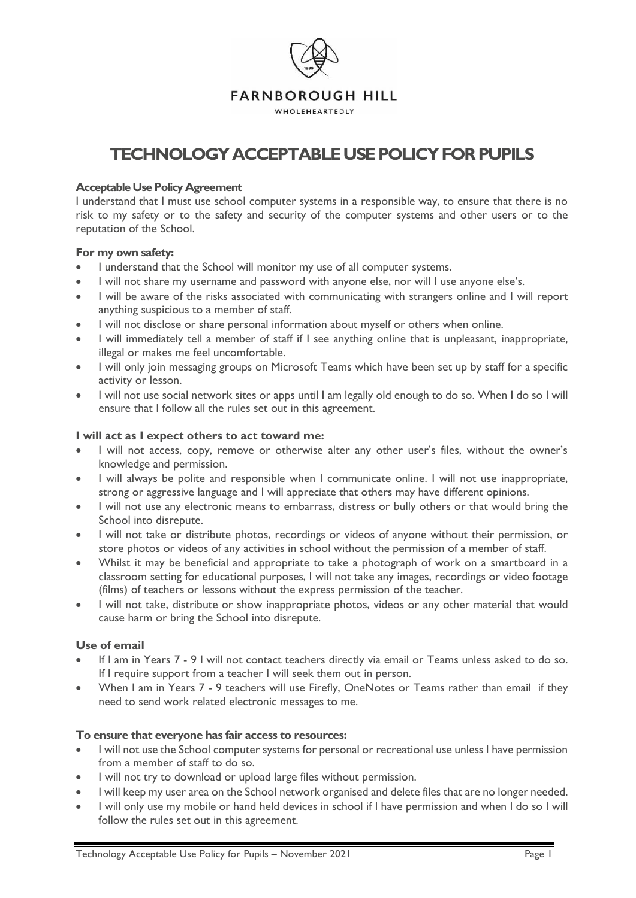

# **TECHNOLOGYACCEPTABLE USE POLICY FOR PUPILS**

#### **Acceptable Use Policy Agreement**

I understand that I must use school computer systems in a responsible way, to ensure that there is no risk to my safety or to the safety and security of the computer systems and other users or to the reputation of the School.

#### **For my own safety:**

- I understand that the School will monitor my use of all computer systems.
- I will not share my username and password with anyone else, nor will I use anyone else's.
- I will be aware of the risks associated with communicating with strangers online and I will report anything suspicious to a member of staff.
- I will not disclose or share personal information about myself or others when online.
- I will immediately tell a member of staff if I see anything online that is unpleasant, inappropriate, illegal or makes me feel uncomfortable.
- I will only join messaging groups on Microsoft Teams which have been set up by staff for a specific activity or lesson.
- I will not use social network sites or apps until I am legally old enough to do so. When I do so I will ensure that I follow all the rules set out in this agreement.

#### **I will act as I expect others to act toward me:**

- I will not access, copy, remove or otherwise alter any other user's files, without the owner's knowledge and permission.
- I will always be polite and responsible when I communicate online. I will not use inappropriate, strong or aggressive language and I will appreciate that others may have different opinions.
- I will not use any electronic means to embarrass, distress or bully others or that would bring the School into disrepute.
- I will not take or distribute photos, recordings or videos of anyone without their permission, or store photos or videos of any activities in school without the permission of a member of staff.
- Whilst it may be beneficial and appropriate to take a photograph of work on a smartboard in a classroom setting for educational purposes, I will not take any images, recordings or video footage (films) of teachers or lessons without the express permission of the teacher.
- I will not take, distribute or show inappropriate photos, videos or any other material that would cause harm or bring the School into disrepute.

## **Use of email**

- If I am in Years 7 9 I will not contact teachers directly via email or Teams unless asked to do so. If I require support from a teacher I will seek them out in person.
- When I am in Years 7 9 teachers will use Firefly, OneNotes or Teams rather than email if they need to send work related electronic messages to me.

#### **To ensure that everyone has fair access to resources:**

- I will not use the School computer systems for personal or recreational use unless I have permission from a member of staff to do so.
- I will not try to download or upload large files without permission.
- I will keep my user area on the School network organised and delete files that are no longer needed.
- I will only use my mobile or hand held devices in school if I have permission and when I do so I will follow the rules set out in this agreement.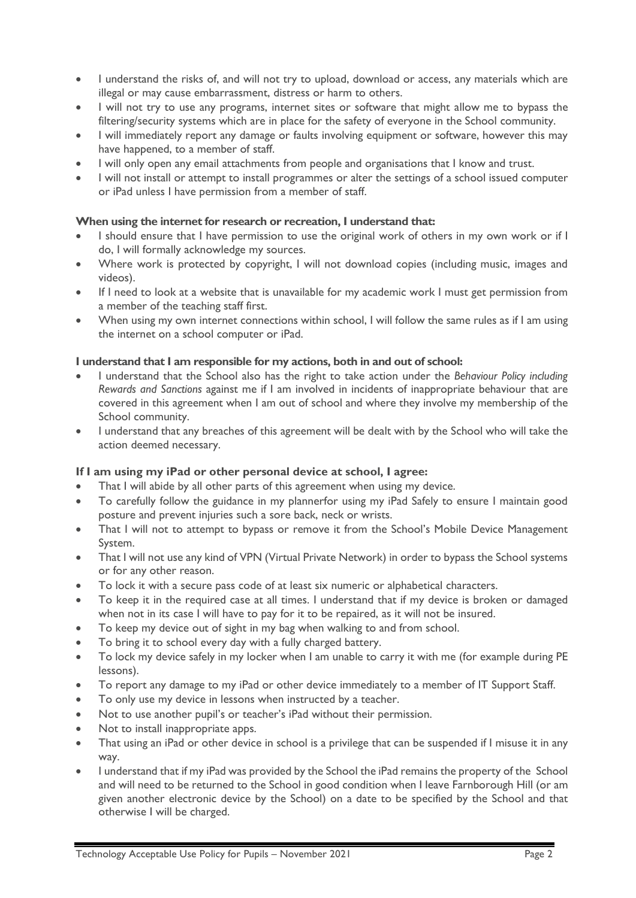- I understand the risks of, and will not try to upload, download or access, any materials which are illegal or may cause embarrassment, distress or harm to others.
- I will not try to use any programs, internet sites or software that might allow me to bypass the filtering/security systems which are in place for the safety of everyone in the School community.
- I will immediately report any damage or faults involving equipment or software, however this may have happened, to a member of staff.
- I will only open any email attachments from people and organisations that I know and trust.
- I will not install or attempt to install programmes or alter the settings of a school issued computer or iPad unless I have permission from a member of staff.

#### **When using the internet for research or recreation, I understand that:**

- I should ensure that I have permission to use the original work of others in my own work or if I do, I will formally acknowledge my sources.
- Where work is protected by copyright, I will not download copies (including music, images and videos).
- If I need to look at a website that is unavailable for my academic work I must get permission from a member of the teaching staff first.
- When using my own internet connections within school, I will follow the same rules as if I am using the internet on a school computer or iPad.

#### **I understand that I am responsible for my actions, both in and out of school:**

- I understand that the School also has the right to take action under the *Behaviour Policy including Rewards and Sanctions* against me if I am involved in incidents of inappropriate behaviour that are covered in this agreement when I am out of school and where they involve my membership of the School community.
- I understand that any breaches of this agreement will be dealt with by the School who will take the action deemed necessary.

#### **If I am using my iPad or other personal device at school, I agree:**

- That I will abide by all other parts of this agreement when using my device.
- To carefully follow the guidance in my plannerfor using my iPad Safely to ensure I maintain good posture and prevent injuries such a sore back, neck or wrists.
- That I will not to attempt to bypass or remove it from the School's Mobile Device Management System.
- That I will not use any kind of VPN (Virtual Private Network) in order to bypass the School systems or for any other reason.
- To lock it with a secure pass code of at least six numeric or alphabetical characters.
- To keep it in the required case at all times. I understand that if my device is broken or damaged when not in its case I will have to pay for it to be repaired, as it will not be insured.
- To keep my device out of sight in my bag when walking to and from school.
- To bring it to school every day with a fully charged battery.
- To lock my device safely in my locker when I am unable to carry it with me (for example during PE lessons).
- To report any damage to my iPad or other device immediately to a member of IT Support Staff.
- To only use my device in lessons when instructed by a teacher.
- Not to use another pupil's or teacher's iPad without their permission.
- Not to install inappropriate apps.
- That using an iPad or other device in school is a privilege that can be suspended if I misuse it in any way.
- I understand that if my iPad was provided by the School the iPad remains the property of the School and will need to be returned to the School in good condition when I leave Farnborough Hill (or am given another electronic device by the School) on a date to be specified by the School and that otherwise I will be charged.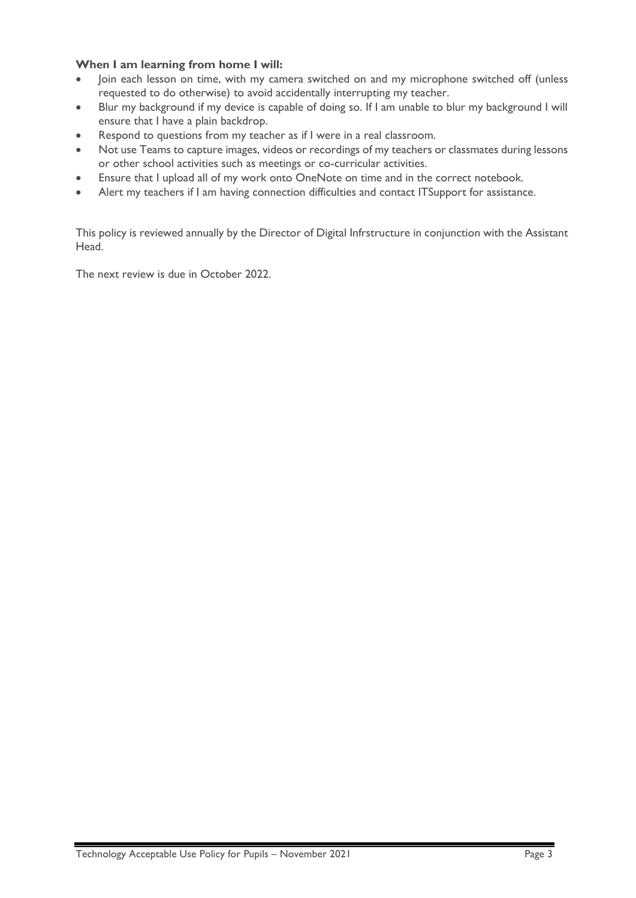## **When I am learning from home I will:**

- Join each lesson on time, with my camera switched on and my microphone switched off (unless requested to do otherwise) to avoid accidentally interrupting my teacher.
- Blur my background if my device is capable of doing so. If I am unable to blur my background I will ensure that I have a plain backdrop.
- Respond to questions from my teacher as if I were in a real classroom.
- Not use Teams to capture images, videos or recordings of my teachers or classmates during lessons or other school activities such as meetings or co-curricular activities.
- Ensure that I upload all of my work onto OneNote on time and in the correct notebook.
- Alert my teachers if I am having connection difficulties and contact ITSupport for assistance.

This policy is reviewed annually by the Director of Digital Infrstructure in conjunction with the Assistant Head.

The next review is due in October 2022.